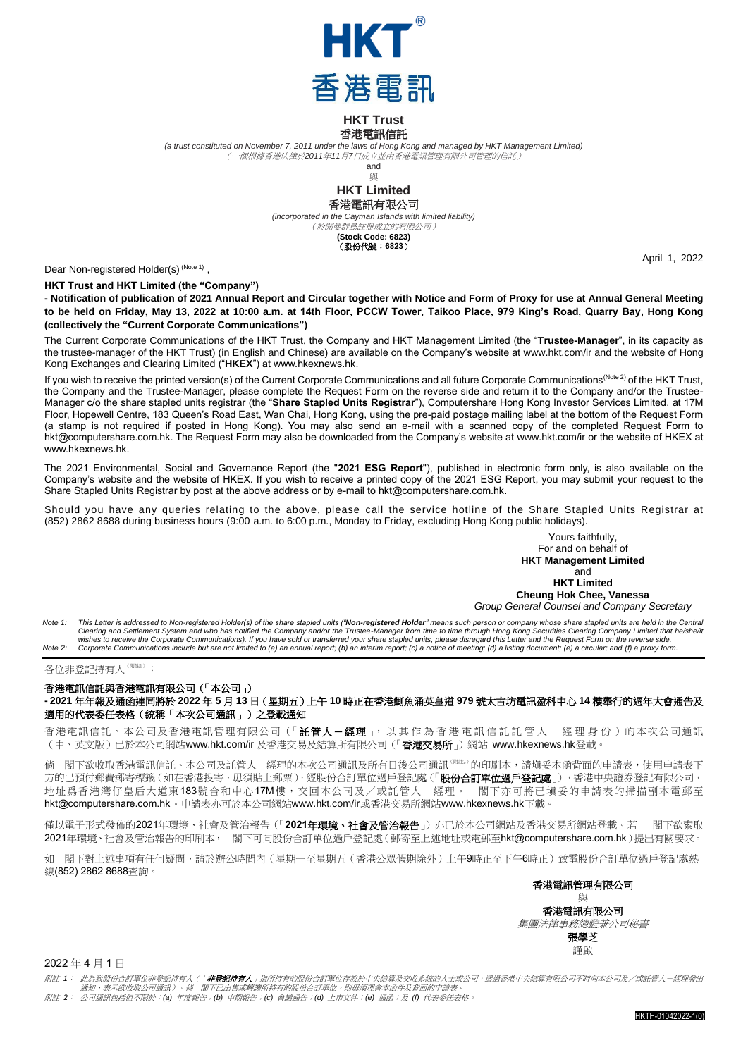

**HKT Trust**

## 香港電訊信託

*(a trust constituted on November 7, 2011 under the laws of Hong Kong and managed by HKT Management Limited)*

(一個根據香港法律於*2011*年*11*月*7*日成立並由香港電訊管理有限公司管理的信託)

and 與

### **HKT Limited** 香港電訊有限公司

*(incorporated in the Cayman Islands with limited liability)* (於開曼群島註冊成立的有限公司)

**(Stock Code: 6823)** (股份代號:**6823**)

Dear Non-registered Holder(s)<sup>(Note 1)</sup>,

**HKT Trust and HKT Limited (the "Company")**

**- Notification of publication of 2021 Annual Report and Circular together with Notice and Form of Proxy for use at Annual General Meeting to be held on Friday, May 13, 2022 at 10:00 a.m. at 14th Floor, PCCW Tower, Taikoo Place, 979 King's Road, Quarry Bay, Hong Kong (collectively the "Current Corporate Communications")**

The Current Corporate Communications of the HKT Trust, the Company and HKT Management Limited (the "**Trustee-Manager**", in its capacity as the trustee-manager of the HKT Trust) (in English and Chinese) are available on the Company's website at [www.hkt.com/ir](http://www.hkt.com/ir) and the website of Hong Kong Exchanges and Clearing Limited ("**HKEX**") at [www.hkexnews.hk.](http://www.hkexnews.hk/)

If you wish to receive the printed version(s) of the Current Corporate Communications and all future Corporate Communications<sup>(Note 2)</sup> of the HKT Trust, the Company and the Trustee-Manager, please complete the Request Form on the reverse side and return it to the Company and/or the Trustee-Manager c/o the share stapled units registrar (the "**Share Stapled Units Registrar**"), Computershare Hong Kong Investor Services Limited, at 17M Floor, Hopewell Centre, 183 Queen's Road East, Wan Chai, Hong Kong, using the pre-paid postage mailing label at the bottom of the Request Form (a stamp is not required if posted in Hong Kong). You may also send an e-mail with a scanned copy of the completed Request Form to [hkt@computershare.com.hk.](mailto:hkt@computershare.com.hk) The Request Form may also be downloaded from the Company's website a[t www.hkt.com/ir](http://www.hkt.com/ir) or the website of HKEX at [www.hkexnews.hk.](http://www.hkexnews.hk/)

The 2021 Environmental, Social and Governance Report (the "**2021 ESG Report**"), published in electronic form only, is also available on the Company's website and the website of HKEX. If you wish to receive a printed copy of the 2021 ESG Report, you may submit your request to the Share Stapled Units Registrar by post at the above address or by e-mail t[o hkt@computershare.com.hk.](mailto:hkt@computershare.com.hk)

Should you have any queries relating to the above, please call the service hotline of the Share Stapled Units Registrar at (852) 2862 8688 during business hours (9:00 a.m. to 6:00 p.m., Monday to Friday, excluding Hong Kong public holidays).

#### Yours faithfully, For and on behalf of **HKT Management Limited** and **HKT Limited Cheung Hok Chee, Vanessa**

*Group General Counsel and Company Secretary*

Note 1: This Letter is addressed to Non-registered Holder(s) of the share stapled units ("**Non-registered Holder**" means such person or company whose share stapled units are held in the Central<br>Clearing and Settlement Syst wishes to receive the Corporate Communications). If you have sold or transferred your share stapled units, please disregard this Letter and the Request Form on the reverse side.<br>Note 2: Corporate Communications include

## 各位非登記持有人(Wäll):

## 香港電訊信託與香港電訊有限公司(「本公司」)

**- 2021** 年年報及通函連同將於 **2022** 年 **5** 月 **13** 日(星期五)上午 **10** 時正在香港鰂魚涌英皇道 **979** 號太古坊電訊盈科中心 **14** 樓舉行的週年大會通告及 適用的代表委任表格(統稱「本次公司通訊」)之登載通知

香港電訊信託、本公司及香港電訊管理有限公司(「託管人-經理」, 以其作 為香港 電訊信託託管 人 - 經理 身 份 )的本次公司通訊 (中、英文版)已於本公司網站[www.hkt.com/ir](http://www.hkt.com/ir) 及香港交易及結算所有限公司(「香港交易所」)網站 [www.hkexnews.hk](http://www.hkexnews.hk/)登載。

倘 閣下欲收取香港電訊信託、本公司及託管人-經理的本次公司通訊及所有日後公司通訊<sup>(WH2)</sup>的印刷本,請塡妥本函背面的申請表,使用申請表下 方的已預付郵費郵寄標籤(如在香港投寄,毋須貼上郵票),經股份合訂單位過戶登記處(「**股份合訂單位過戶登記處」**),香港中央證券登記有限公司, 地址爲香港灣仔皇后大道東183號合和中心17M樓,交回本公司及/或託管人-經理。 閣下亦可將已填妥的申請表的掃描副本電郵至 [hkt@computershare.com.hk](mailto:hkt@computershare.com.hk)。申請表亦可於本公司網站[www.hkt.com/ir](http://www.hkt.com/ir)或香港交易所網站[www.hkexnews.hk](http://www.hkexnews.hk/)下載。

僅以電子形式發佈的2021年環境、社會及管治報告(「2021年**環境、社會及管治報告**」)亦已於本公司網站及香港交易所網站登載。若 閣下欲索取 2021年環境、社會及管治報告的印刷本, 閣下可向股份合訂單位過戶登記處(郵寄至上述地址或電郵至[hkt@computershare.com.hk](mailto:hkt@computershare.com.hk))提出有關要求。

如 閣下對上述事項有任何疑問,請於辦公時間內(星期一至星期五(香港公眾假期除外)上午9時正至下午6時正)致電股份合訂單位過戶登記處熱 線(852) 2862 8688查詢。

香港電訊管理有限公司

與 香港電訊有限公司 集團法律事務總監兼公司秘書

張學芝 謹啟

2022 年 4 月 1 日

附註 *1*: 此為致股份合訂單位非登記持有人(「非登記持有人」指所持有的股份合訂單位存放於中央結算及交收系統的人士或公司,透過香港中央結算有限公司不時向本公司及/或託管人-經理發出

通知,表示欲收取公司通訊)。倘 閣下已出售或轉讓所持有的股份合訂單位,則毋須理會本函件及背面的申請表。 附註 *2*: 公司通訊包括但不限於:*(a)* 年度報告;*(b)* 中期報告;*(c)* 會議通告;*(d)* 上市文件;*(e)* 通函;及 *(f)* 代表委任表格。

HKTH-01042022-1(0)